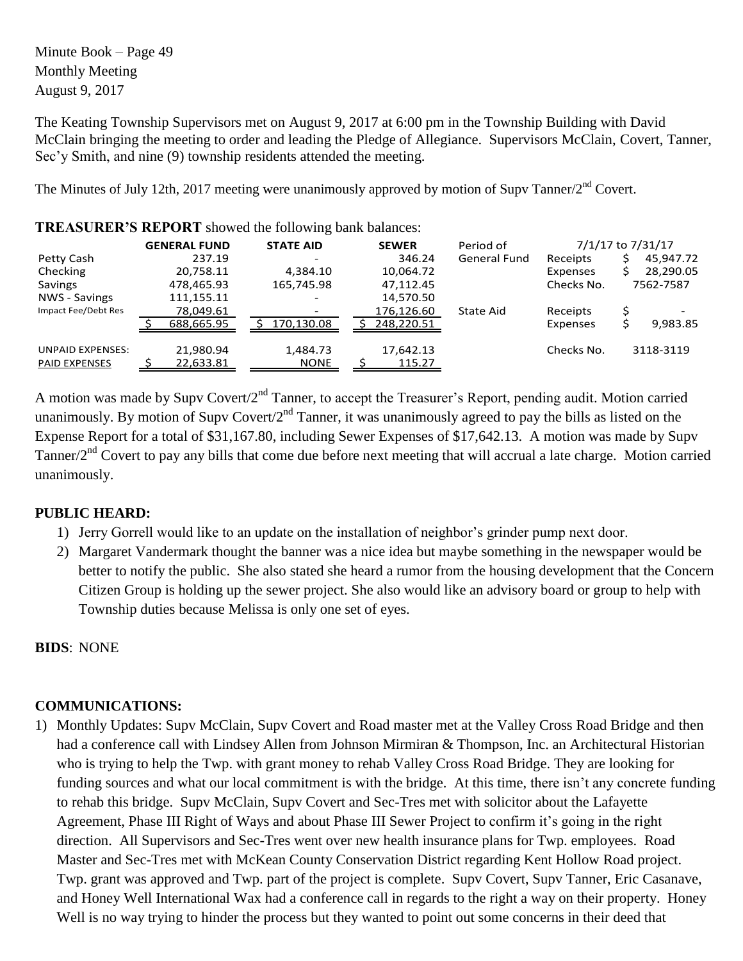Minute Book – Page 49 Monthly Meeting August 9, 2017

The Keating Township Supervisors met on August 9, 2017 at 6:00 pm in the Township Building with David McClain bringing the meeting to order and leading the Pledge of Allegiance. Supervisors McClain, Covert, Tanner, Sec'y Smith, and nine (9) township residents attended the meeting.

The Minutes of July 12th, 2017 meeting were unanimously approved by motion of Supv Tanner/2<sup>nd</sup> Covert.

| <b>TIME/WOUNDING INET OINT</b> SHOWED HIS TOHOWING DRIM DRIMINES. |                         |                     |                     |            |                   |
|-------------------------------------------------------------------|-------------------------|---------------------|---------------------|------------|-------------------|
| <b>GENERAL FUND</b>                                               | <b>STATE AID</b>        | <b>SEWER</b>        | Period of           |            | 7/1/17 to 7/31/17 |
| 237.19                                                            |                         | 346.24              | <b>General Fund</b> | Receipts   | 45,947.72         |
| 20,758.11                                                         | 4.384.10                | 10,064.72           |                     | Expenses   | 28,290.05         |
| 478,465.93                                                        | 165,745.98              | 47,112.45           |                     | Checks No. | 7562-7587         |
| 111,155.11                                                        |                         | 14,570.50           |                     |            |                   |
| 78,049.61                                                         |                         | 176,126.60          | State Aid           | Receipts   |                   |
| 688,665.95                                                        | 170.130.08              | 248.220.51          |                     | Expenses   | 9,983.85          |
| 21,980.94<br>22,633.81                                            | 1,484.73<br><b>NONE</b> | 17,642.13<br>115.27 |                     | Checks No. | 3118-3119         |
|                                                                   |                         |                     |                     |            |                   |

**TREASURER'S REPORT** showed the following bank balances:

A motion was made by Supv Covert/2nd Tanner, to accept the Treasurer's Report, pending audit. Motion carried unanimously. By motion of Supy Covert/2<sup>nd</sup> Tanner, it was unanimously agreed to pay the bills as listed on the Expense Report for a total of \$31,167.80, including Sewer Expenses of \$17,642.13. A motion was made by Supv Tanner/ $2<sup>nd</sup>$  Covert to pay any bills that come due before next meeting that will accrual a late charge. Motion carried unanimously.

## **PUBLIC HEARD:**

- 1) Jerry Gorrell would like to an update on the installation of neighbor's grinder pump next door.
- 2) Margaret Vandermark thought the banner was a nice idea but maybe something in the newspaper would be better to notify the public. She also stated she heard a rumor from the housing development that the Concern Citizen Group is holding up the sewer project. She also would like an advisory board or group to help with Township duties because Melissa is only one set of eyes.

**BIDS**: NONE

## **COMMUNICATIONS:**

1) Monthly Updates: Supv McClain, Supv Covert and Road master met at the Valley Cross Road Bridge and then had a conference call with Lindsey Allen from Johnson Mirmiran & Thompson, Inc. an Architectural Historian who is trying to help the Twp. with grant money to rehab Valley Cross Road Bridge. They are looking for funding sources and what our local commitment is with the bridge. At this time, there isn't any concrete funding to rehab this bridge. Supv McClain, Supv Covert and Sec-Tres met with solicitor about the Lafayette Agreement, Phase III Right of Ways and about Phase III Sewer Project to confirm it's going in the right direction. All Supervisors and Sec-Tres went over new health insurance plans for Twp. employees. Road Master and Sec-Tres met with McKean County Conservation District regarding Kent Hollow Road project. Twp. grant was approved and Twp. part of the project is complete. Supv Covert, Supv Tanner, Eric Casanave, and Honey Well International Wax had a conference call in regards to the right a way on their property. Honey Well is no way trying to hinder the process but they wanted to point out some concerns in their deed that